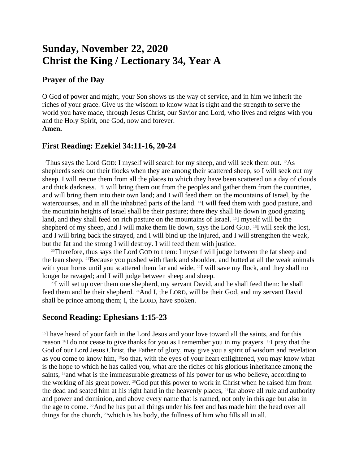# **Sunday, November 22, 2020 Christ the King / Lectionary 34, Year A**

### **Prayer of the Day**

O God of power and might, your Son shows us the way of service, and in him we inherit the riches of your grace. Give us the wisdom to know what is right and the strength to serve the world you have made, through Jesus Christ, our Savior and Lord, who lives and reigns with you and the Holy Spirit, one God, now and forever. **Amen.**

#### **First Reading: Ezekiel 34:11-16, 20-24**

<sup>11</sup>Thus says the Lord GOD: I myself will search for my sheep, and will seek them out. <sup>12</sup>As shepherds seek out their flocks when they are among their scattered sheep, so I will seek out my sheep. I will rescue them from all the places to which they have been scattered on a day of clouds and thick darkness. 13I will bring them out from the peoples and gather them from the countries, and will bring them into their own land; and I will feed them on the mountains of Israel, by the watercourses, and in all the inhabited parts of the land. 14I will feed them with good pasture, and the mountain heights of Israel shall be their pasture; there they shall lie down in good grazing land, and they shall feed on rich pasture on the mountains of Israel. 15I myself will be the shepherd of my sheep, and I will make them lie down, says the Lord GOD. <sup>16</sup>I will seek the lost, and I will bring back the strayed, and I will bind up the injured, and I will strengthen the weak, but the fat and the strong I will destroy. I will feed them with justice.

<sup>20</sup>Therefore, thus says the Lord GOD to them: I myself will judge between the fat sheep and the lean sheep. 21Because you pushed with flank and shoulder, and butted at all the weak animals with your horns until you scattered them far and wide, <sup>22</sup>I will save my flock, and they shall no longer be ravaged; and I will judge between sheep and sheep.

 $^{23}$ I will set up over them one shepherd, my servant David, and he shall feed them: he shall feed them and be their shepherd. 24And I, the LORD, will be their God, and my servant David shall be prince among them; I, the LORD, have spoken.

## **Second Reading: Ephesians 1:15-23**

 $15I$  have heard of your faith in the Lord Jesus and your love toward all the saints, and for this reason  $16I$  do not cease to give thanks for you as I remember you in my prayers.  $17I$  pray that the God of our Lord Jesus Christ, the Father of glory, may give you a spirit of wisdom and revelation as you come to know him, <sup>18</sup>so that, with the eyes of your heart enlightened, you may know what is the hope to which he has called you, what are the riches of his glorious inheritance among the saints, <sup>19</sup> and what is the immeasurable greatness of his power for us who believe, according to the working of his great power. 20God put this power to work in Christ when he raised him from the dead and seated him at his right hand in the heavenly places,  $^{21}$  far above all rule and authority and power and dominion, and above every name that is named, not only in this age but also in the age to come. <sup>22</sup>And he has put all things under his feet and has made him the head over all things for the church, 23which is his body, the fullness of him who fills all in all.